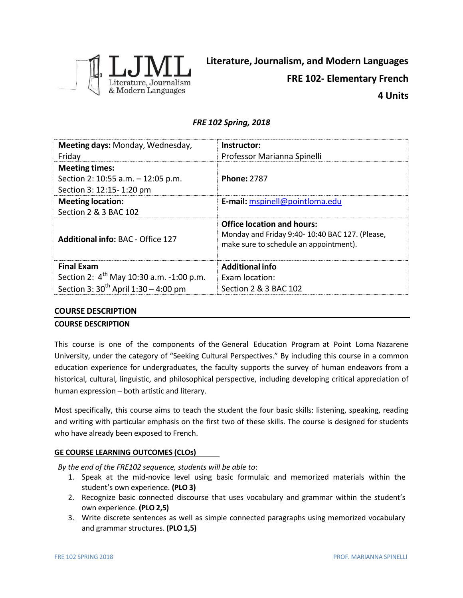

# *FRE 102 Spring, 2018*

| Meeting days: Monday, Wednesday,<br>Friday                                              | Instructor:<br>Professor Marianna Spinelli                                                                                    |
|-----------------------------------------------------------------------------------------|-------------------------------------------------------------------------------------------------------------------------------|
| <b>Meeting times:</b><br>Section 2: 10:55 a.m. - 12:05 p.m.<br>Section 3: 12:15-1:20 pm | <b>Phone: 2787</b>                                                                                                            |
| <b>Meeting location:</b><br>Section 2 & 3 BAC 102                                       | E-mail: mspinell@pointloma.edu                                                                                                |
| <b>Additional info: BAC - Office 127</b>                                                | <b>Office location and hours:</b><br>Monday and Friday 9:40-10:40 BAC 127. (Please,<br>make sure to schedule an appointment). |
| <b>Final Exam</b>                                                                       | <b>Additional info</b>                                                                                                        |
| Section 2: 4 <sup>th</sup> May 10:30 a.m. -1:00 p.m.                                    | <b>Exam location:</b>                                                                                                         |
| Section 3: $30^{th}$ April 1:30 – 4:00 pm                                               | Section 2 & 3 BAC 102                                                                                                         |

# **COURSE DESCRIPTION**

# **COURSE DESCRIPTION**

This course is one of the components of the General Education Program at Point Loma Nazarene University, under the category of "Seeking Cultural Perspectives." By including this course in a common education experience for undergraduates, the faculty supports the survey of human endeavors from a historical, cultural, linguistic, and philosophical perspective, including developing critical appreciation of human expression – both artistic and literary.

Most specifically, this course aims to teach the student the four basic skills: listening, speaking, reading and writing with particular emphasis on the first two of these skills. The course is designed for students who have already been exposed to French.

# **GE COURSE LEARNING OUTCOMES (CLOs)**

*By the end of the FRE102 sequence, students will be able to*:

- 1. Speak at the mid-novice level using basic formulaic and memorized materials within the student's own experience. **(PLO 3)**
- 2. Recognize basic connected discourse that uses vocabulary and grammar within the student's own experience. **(PLO 2,5)**
- 3. Write discrete sentences as well as simple connected paragraphs using memorized vocabulary and grammar structures. **(PLO 1,5)**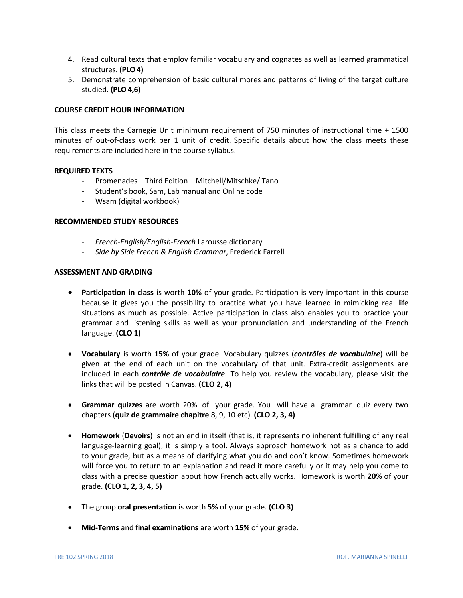- 4. Read cultural texts that employ familiar vocabulary and cognates as well as learned grammatical structures. **(PLO4)**
- 5. Demonstrate comprehension of basic cultural mores and patterns of living of the target culture studied. **(PLO4,6)**

## **COURSE CREDIT HOUR INFORMATION**

This class meets the Carnegie Unit minimum requirement of 750 minutes of instructional time + 1500 minutes of out-of-class work per 1 unit of credit. Specific details about how the class meets these requirements are included here in the course syllabus.

### **REQUIRED TEXTS**

- Promenades Third Edition Mitchell/Mitschke/ Tano
- Student's book, Sam, Lab manual and Online code
- Wsam (digital workbook)

### **RECOMMENDED STUDY RESOURCES**

- *- French-English/English-French* Larousse dictionary
- *- Side by Side French & English Grammar*, Frederick Farrell

### **ASSESSMENT AND GRADING**

- **Participation in class** is worth **10%** of your grade. Participation is very important in this course because it gives you the possibility to practice what you have learned in mimicking real life situations as much as possible. Active participation in class also enables you to practice your grammar and listening skills as well as your pronunciation and understanding of the French language. **(CLO 1)**
- **Vocabulary** is worth **15%** of your grade. Vocabulary quizzes (*contrôles de vocabulaire*) will be given at the end of each unit on the vocabulary of that unit. Extra-credit assignments are included in each *contrôle de vocabulaire*. To help you review the vocabulary, please visit the links that will be posted in Canvas. **(CLO 2, 4)**
- **Grammar quizzes** are worth 20% of your grade. You will have a grammar quiz every two chapters (**quiz de grammaire chapitre** 8, 9, 10 etc). **(CLO 2, 3, 4)**
- **Homework** (**Devoirs**) is not an end in itself (that is, it represents no inherent fulfilling of any real language-learning goal); it is simply a tool. Always approach homework not as a chance to add to your grade, but as a means of clarifying what you do and don't know. Sometimes homework will force you to return to an explanation and read it more carefully or it may help you come to class with a precise question about how French actually works. Homework is worth **20%** of your grade. **(CLO 1, 2, 3, 4, 5)**
- The group **oral presentation** is worth **5%** of your grade. **(CLO 3)**
- **Mid-Terms** and **final examinations** are worth **15%** of your grade.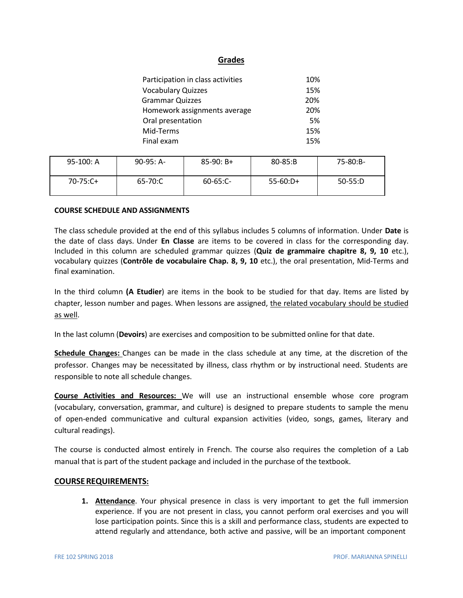# **Grades**

| Participation in class activities | 10% |
|-----------------------------------|-----|
| <b>Vocabulary Quizzes</b>         | 15% |
| <b>Grammar Quizzes</b>            | 20% |
| Homework assignments average      | 20% |
| Oral presentation                 | .5% |
| Mid-Terms                         | 15% |
| Final exam                        | 15% |

| $95-100: A$ | $90-95: A-$ | $85-90: B+$   | $80 - 85: B$ | 75-80:B-  |
|-------------|-------------|---------------|--------------|-----------|
| 70-75:C+    | 65-70:C     | $60 - 65:C -$ | $55-60:D+$   | $50-55:D$ |

## **COURSE SCHEDULE AND ASSIGNMENTS**

The class schedule provided at the end of this syllabus includes 5 columns of information. Under **Date** is the date of class days. Under **En Classe** are items to be covered in class for the corresponding day. Included in this column are scheduled grammar quizzes (**Quiz de grammaire chapitre 8, 9, 10** etc.), vocabulary quizzes (**Contrôle de vocabulaire Chap. 8, 9, 10** etc.), the oral presentation, Mid-Terms and final examination.

In the third column **(A Etudier**) are items in the book to be studied for that day. Items are listed by chapter, lesson number and pages. When lessons are assigned, the related vocabulary should be studied as well.

In the last column (**Devoirs**) are exercises and composition to be submitted online for that date.

**Schedule Changes:** Changes can be made in the class schedule at any time, at the discretion of the professor. Changes may be necessitated by illness, class rhythm or by instructional need. Students are responsible to note all schedule changes.

**Course Activities and Resources:** We will use an instructional ensemble whose core program (vocabulary, conversation, grammar, and culture) is designed to prepare students to sample the menu of open-ended communicative and cultural expansion activities (video, songs, games, literary and cultural readings).

The course is conducted almost entirely in French. The course also requires the completion of a Lab manual that is part of the student package and included in the purchase of the textbook.

# **COURSEREQUIREMENTS:**

**1. Attendance**. Your physical presence in class is very important to get the full immersion experience. If you are not present in class, you cannot perform oral exercises and you will lose participation points. Since this is a skill and performance class, students are expected to attend regularly and attendance, both active and passive, will be an important component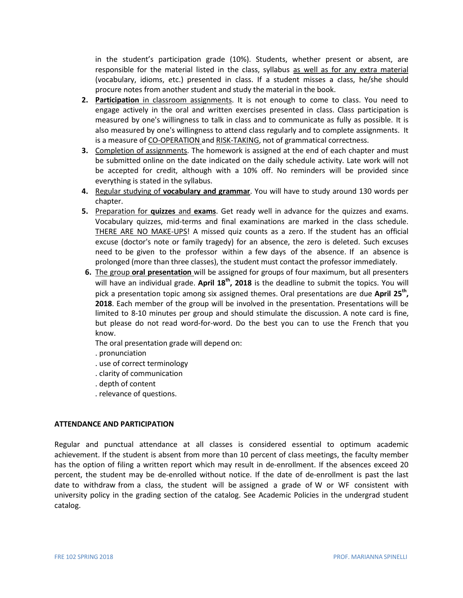in the student's participation grade (10%). Students, whether present or absent, are responsible for the material listed in the class, syllabus as well as for any extra material (vocabulary, idioms, etc.) presented in class. If a student misses a class, he/she should procure notes from another student and study the material in the book.

- **2. Participation** in classroom assignments. It is not enough to come to class. You need to engage actively in the oral and written exercises presented in class. Class participation is measured by one's willingness to talk in class and to communicate as fully as possible. It is also measured by one's willingness to attend class regularly and to complete assignments. It is a measure of CO-OPERATION and RISK-TAKING, not of grammatical correctness.
- **3.** Completion of assignments. The homework is assigned at the end of each chapter and must be submitted online on the date indicated on the daily schedule activity. Late work will not be accepted for credit, although with a 10% off. No reminders will be provided since everything is stated in the syllabus.
- **4.** Regular studying of **vocabulary and grammar**. You will have to study around 130 words per chapter.
- **5.** Preparation for **quizzes** and **exams**. Get ready well in advance for the quizzes and exams. Vocabulary quizzes, mid-terms and final examinations are marked in the class schedule. THERE ARE NO MAKE-UPS! A missed quiz counts as a zero. If the student has an official excuse (doctor's note or family tragedy) for an absence, the zero is deleted. Such excuses need to be given to the professor within a few days of the absence. If an absence is prolonged (more than three classes), the student must contact the professor immediately.
- **6.** The group **oral presentation** will be assigned for groups of four maximum, but all presenters will have an individual grade. **April 18th , 2018** is the deadline to submit the topics. You will pick a presentation topic among six assigned themes. Oral presentations are due **April 25th , 2018**. Each member of the group will be involved in the presentation. Presentations will be limited to 8-10 minutes per group and should stimulate the discussion. A note card is fine, but please do not read word-for-word. Do the best you can to use the French that you know.

The oral presentation grade will depend on:

- . pronunciation
- . use of correct terminology
- . clarity of communication
- . depth of content
- . relevance of questions.

### **ATTENDANCE AND PARTICIPATION**

Regular and punctual attendance at all classes is considered essential to optimum academic achievement. If the student is absent from more than 10 percent of class meetings, the faculty member has the option of filing a written report which may result in de-enrollment. If the absences exceed 20 percent, the student may be de-enrolled without notice. If the date of de-enrollment is past the last date to withdraw from a class, the student will be assigned a grade of W or WF consistent with university policy in the grading section of the catalog. See Academic Policies in the undergrad student catalog.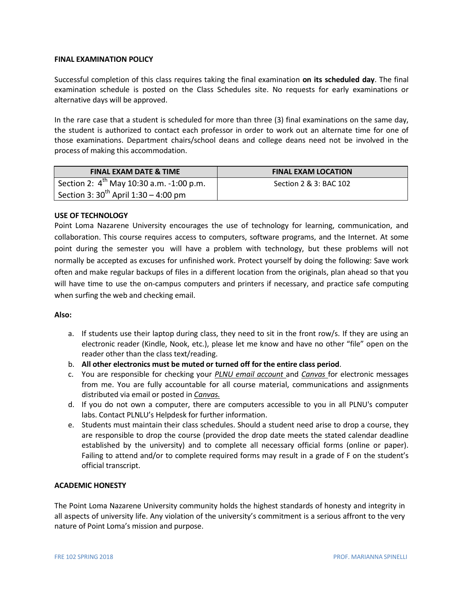### **FINAL EXAMINATION POLICY**

Successful completion of this class requires taking the final examination **on its scheduled day**. The final examination schedule is posted on the Class Schedules site. No requests for early examinations or alternative days will be approved.

In the rare case that a student is scheduled for more than three (3) final examinations on the same day, the student is authorized to contact each professor in order to work out an alternate time for one of those examinations. Department chairs/school deans and college deans need not be involved in the process of making this accommodation.

| <b>FINAL EXAM DATE &amp; TIME</b>                | <b>FINAL EXAM LOCATION</b> |
|--------------------------------------------------|----------------------------|
| Section 2: $4^{th}$ May 10:30 a.m. -1:00 p.m.    | Section 2 & 3: BAC 102     |
| Section 3: $30^{\text{th}}$ April 1:30 – 4:00 pm |                            |

## **USE OF TECHNOLOGY**

Point Loma Nazarene University encourages the use of technology for learning, communication, and collaboration. This course requires access to computers, software programs, and the Internet. At some point during the semester you will have a problem with technology, but these problems will not normally be accepted as excuses for unfinished work. Protect yourself by doing the following: Save work often and make regular backups of files in a different location from the originals, plan ahead so that you will have time to use the on-campus computers and printers if necessary, and practice safe computing when surfing the web and checking email.

### **Also:**

- a. If students use their laptop during class, they need to sit in the front row/s. If they are using an electronic reader (Kindle, Nook, etc.), please let me know and have no other "file" open on the reader other than the class text/reading.
- b. **All other electronics must be muted or turned off for the entire class period**.
- c. You are responsible for checking your *PLNU email account* and *Canvas* for electronic messages from me. You are fully accountable for all course material, communications and assignments distributed via email or posted in *Canvas.*
- d. If you do not own a computer, there are computers accessible to you in all PLNU's computer labs. Contact PLNLU's Helpdesk for further information.
- e. Students must maintain their class schedules. Should a student need arise to drop a course, they are responsible to drop the course (provided the drop date meets the stated calendar deadline established by the university) and to complete all necessary official forms (online or paper). Failing to attend and/or to complete required forms may result in a grade of F on the student's official transcript.

# **ACADEMIC HONESTY**

The Point Loma Nazarene University community holds the highest standards of honesty and integrity in all aspects of university life. Any violation of the university's commitment is a serious affront to the very nature of Point Loma's mission and purpose.